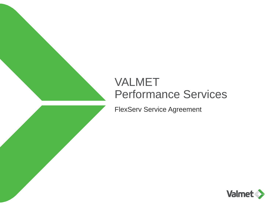#### VALMET Performance Services

FlexServ Service Agreement

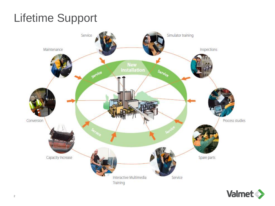### Lifetime Support



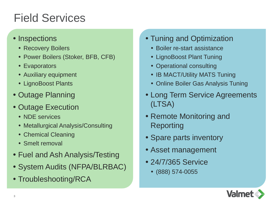### Field Services

#### • Inspections

- Recovery Boilers
- Power Boilers (Stoker, BFB, CFB)
- Evaporators
- Auxiliary equipment
- LignoBoost Plants
- Outage Planning
- Outage Execution
	- NDE services
	- Metallurgical Analysis/Consulting
	- Chemical Cleaning
	- Smelt removal
- Fuel and Ash Analysis/Testing
- System Audits (NFPA/BLRBAC)
- Troubleshooting/RCA
- Tuning and Optimization
	- Boiler re-start assistance
	- LignoBoost Plant Tuning
	- Operational consulting
	- IB MACT/Utility MATS Tuning
	- Online Boiler Gas Analysis Tuning
- Long Term Service Agreements (LTSA)
- Remote Monitoring and Reporting
- Spare parts inventory
- Asset management
- 24/7/365 Service
	- (888) 574-0055

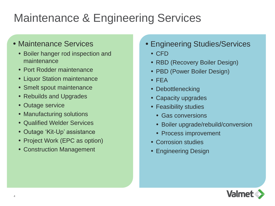### Maintenance & Engineering Services

#### • Maintenance Services

- Boiler hanger rod inspection and maintenance
- Port Rodder maintenance
- Liquor Station maintenance
- Smelt spout maintenance
- Rebuilds and Upgrades
- Outage service
- Manufacturing solutions
- Qualified Welder Services
- Outage 'Kit-Up' assistance
- Project Work (EPC as option)
- Construction Management
- Engineering Studies/Services
	- CFD
	- RBD (Recovery Boiler Design)
	- PBD (Power Boiler Design)
	- FEA
	- Debottlenecking
	- Capacity upgrades
	- Feasibility studies
		- Gas conversions
		- Boiler upgrade/rebuild/conversion
		- Process improvement
	- Corrosion studies
	- Engineering Design

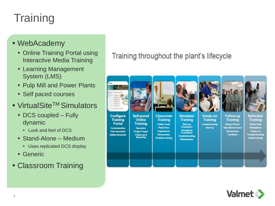## **Training**

- WebAcademy
	- Online Training Portal using Interactive Media Training
	- Learning Management System (LMS)
	- Pulp Mill and Power Plants
	- Self paced courses
- VirtualSite<sup>TM</sup> Simulators
	- DCS coupled Fully dynamic
		- Look and feel of DCS
	- Stand-Alone Medium
		- Uses replicated DCS display
	- Generic
- Classroom Training

#### Training throughout the plant's lifecycle



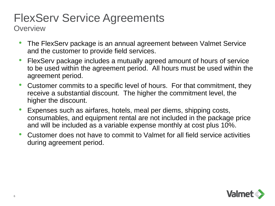## FlexServ Service Agreements

**Overview** 

- The FlexServ package is an annual agreement between Valmet Service and the customer to provide field services.
- FlexServ package includes a mutually agreed amount of hours of service to be used within the agreement period. All hours must be used within the agreement period.
- Customer commits to a specific level of hours. For that commitment, they receive a substantial discount. The higher the commitment level, the higher the discount.
- Expenses such as airfares, hotels, meal per diems, shipping costs, consumables, and equipment rental are not included in the package price and will be included as a variable expense monthly at cost plus 10%.
- Customer does not have to commit to Valmet for all field service activities during agreement period.

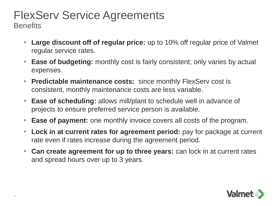## FlexServ Service Agreements

**Benefits** 

- **Large discount off of regular price:** up to 10% off regular price of Valmet regular service rates.
- **Ease of budgeting:** monthly cost is fairly consistent; only varies by actual expenses.
- **Predictable maintenance costs:** since monthly FlexServ cost is consistent, monthly maintenance costs are less variable.
- **Ease of scheduling:** allows mill/plant to schedule well in advance of projects to ensure preferred service person is available.
- **Ease of payment:** one monthly invoice covers all costs of the program.
- **Lock in at current rates for agreement period:** pay for package at current rate even if rates increase during the agreement period.
- **Can create agreement for up to three years:** can lock in at current rates and spread hours over up to 3 years.

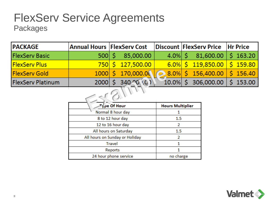#### FlexServ Service Agreements Packages

| <b>PACKAGE</b>           |              | Annual Hours   FlexServ Cost       |  | Discount FlexServ Price Hr Price        |  |  |  |  |  |  |
|--------------------------|--------------|------------------------------------|--|-----------------------------------------|--|--|--|--|--|--|
| <b>FlexServ Basic</b>    | $500 \mid S$ | 85,000.00                          |  | $4.0\%$ \$ 81,600.00 \$ 163.20          |  |  |  |  |  |  |
| <b>FlexServ Plus</b>     |              | <u>750 \$127,500.00  </u>          |  | $6.0\%$ \$ 119,850.00 \$ 159.80         |  |  |  |  |  |  |
| <b>FlexServ Gold</b>     |              | $1000 \mid 5 \mid 170,000.00 \mid$ |  | $\bigcirc$ 8.0% \$ 156,400.00 \$ 156.40 |  |  |  |  |  |  |
| <b>FlexServ Platinum</b> |              | 2000 \$ 340 0 .0 )                 |  | $10.0\%$ \$ 306,000.00 \$ 153.00        |  |  |  |  |  |  |
|                          |              |                                    |  |                                         |  |  |  |  |  |  |

| Tγ pe Of Hour                  | <b>Hours Multiplier</b> |
|--------------------------------|-------------------------|
| Normal 8 hour day              |                         |
| 8 to 12 hour day               | 1.5                     |
| 12 to 16 hour day              | 2                       |
| All hours on Saturday          | 1.5                     |
| All hours on Sunday or Holiday | 2                       |
| <b>Travel</b>                  |                         |
| Reports                        |                         |
| 24 hour phone service          | no charge               |

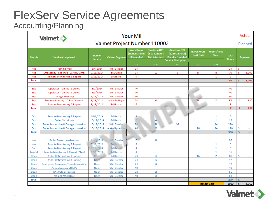#### FlexServ Service Agreements Accounting/Planning

|                              | <b>Your Mill</b><br><b>Valmet</b>         |            |                           |                         |                                                      |                                                         |                                                                                         | Actual                            |                                   |                              |                 |  |
|------------------------------|-------------------------------------------|------------|---------------------------|-------------------------|------------------------------------------------------|---------------------------------------------------------|-----------------------------------------------------------------------------------------|-----------------------------------|-----------------------------------|------------------------------|-----------------|--|
| Valmet Project Number 110002 |                                           |            |                           |                         |                                                      |                                                         |                                                                                         |                                   |                                   | Planned                      |                 |  |
| <b>Month</b>                 | <b>Service Completed</b>                  |            | Date of<br><b>Service</b> | <b>Valmet Engineer</b>  | <b>Work Hours</b><br>(Staright Time)<br>(8 hour day) | <b>Overtime OT1</b><br>(8 to 12 hour)<br>(All Saturday) | <b>Overtime OT2</b><br>(12 to 16 hour)<br>(Sunday/Holiday)<br><b>Service Multiplier</b> | <b>Travel Hours</b><br>(In & Out) | <b>Report/Prep</b><br><b>Time</b> | <b>Total</b><br><b>Hours</b> | <b>Expenses</b> |  |
|                              |                                           |            |                           | 1.0                     | 1.5                                                  | 2.0                                                     | 1.0                                                                                     | 1.0                               |                                   |                              |                 |  |
| Aug                          | <b>Training Prep</b>                      | 8/4/2014   | Will Giesler              | 24                      |                                                      |                                                         |                                                                                         |                                   | 24                                | s                            |                 |  |
| Aug                          | Emergency Response - SCAH (36 hrs)        | 8/15/2014  | <b>Tony Gravel</b>        | 24                      | 12                                                   | $\overline{2}$                                          | 16                                                                                      | 8                                 | 70                                | s                            | 1,205           |  |
| Aug                          | Remote Monitoring & Report                | 8/15/2014  | <b>Ed Harris</b>          | 4                       |                                                      |                                                         |                                                                                         | $\mathbf{1}$                      | 5                                 |                              |                 |  |
| <b>Total</b>                 |                                           |            |                           |                         |                                                      |                                                         |                                                                                         |                                   | 99                                | s                            | 1,205           |  |
|                              |                                           |            |                           |                         |                                                      |                                                         |                                                                                         |                                   |                                   |                              |                 |  |
| Sep                          | <b>Operator Training - 2 crews</b>        | 9/1/2014   | Will Giesler              | 40                      |                                                      |                                                         |                                                                                         |                                   | 40                                |                              |                 |  |
| Sep                          | <b>Operator Training - 2 crews</b>        | 9/8/2014   | Will Giesler              | 40                      |                                                      |                                                         |                                                                                         |                                   | 40                                |                              |                 |  |
| Sep                          | <b>Outage Planning</b>                    | 9/15/2014  | Will Giesler              | 40                      |                                                      |                                                         |                                                                                         |                                   | 40                                |                              |                 |  |
| Sep                          | Troubleshooting - ID Fan Controls         | 9/16/2014  | <b>Kevin Pollinger</b>    | 24                      | 6                                                    | $\sigma$                                                | 16                                                                                      | 8                                 | 57                                | s                            | 857             |  |
| Sep                          | Remote Monitoring & Report                | 9/15/2014  | <b>Ed Harris</b>          | 4                       |                                                      |                                                         |                                                                                         | $\mathbf{1}$                      | 5                                 |                              |                 |  |
| <b>Total</b>                 |                                           |            |                           |                         |                                                      |                                                         |                                                                                         |                                   | 182                               | s                            | 857             |  |
|                              |                                           |            |                           |                         |                                                      |                                                         |                                                                                         |                                   |                                   |                              |                 |  |
| Oct                          | <b>Remote Monitoring &amp; Report</b>     | 10/6/2014  | <b>Ed Harris</b>          | $\overline{4}$          |                                                      |                                                         |                                                                                         | $\mathbf{1}$                      | 5                                 |                              |                 |  |
| Oct                          | <b>Boiler Shutdown</b>                    | 10/17/2014 | <b>Ed Harris</b>          | $\overline{8}$          | $\overline{4}$                                       |                                                         |                                                                                         | $\mathbf{1}$                      | 15                                |                              |                 |  |
| Oct                          | Boiler Inspection & Outage (2 weeks)      | 10/18/2014 | Will Giesler              | 80                      | 56                                                   | 16                                                      |                                                                                         | 24                                | 220                               |                              |                 |  |
| Oct                          | Boiler Inspection & Outage (1 weeks)      | 10/19/2014 | Jarkko Hyvarinen          | 40                      | 20                                                   |                                                         | 16                                                                                      | 24                                | 110                               | s                            |                 |  |
| <b>Total</b>                 |                                           |            |                           |                         |                                                      |                                                         |                                                                                         |                                   | 350                               | s.                           |                 |  |
| Nov                          | <b>Boiler Restart Assistance</b>          | 11/1/2014  | Will Giesler              | $\overline{\mathbf{g}}$ | 8                                                    |                                                         |                                                                                         |                                   | 20                                |                              |                 |  |
| Nov                          | Remote Monitoring & Report                | 11/6/2014  | <b>Ed Harris</b>          | 4                       |                                                      |                                                         |                                                                                         | $\mathbf{1}$                      | 5                                 |                              |                 |  |
| <b>Dec</b>                   | <b>Remote Monitoring &amp; Report</b>     | 12/6/2014  | Ed Harris                 | 4                       |                                                      |                                                         |                                                                                         | 1                                 | 5                                 |                              |                 |  |
| Jan-Jul                      | Remote Monitoring & Report (7 Mo)         | 12/7/2014  | <b>Ed Harris</b>          | 4                       |                                                      |                                                         |                                                                                         | $\mathbf{1}$                      | 35                                |                              |                 |  |
| Open                         | <b>Boiler Optimization &amp; Tuning</b>   | Open       | <b>Ed Harris</b>          | 24                      | 12                                                   |                                                         | 16                                                                                      | $\overline{2}$                    | 60                                | \$.                          |                 |  |
| Open                         | <b>Boiler Optimization &amp; Tuning</b>   | Open       | Will Giesler              | 24                      | 12                                                   |                                                         |                                                                                         |                                   | 42                                |                              |                 |  |
| Open                         | <b>Emergency Response/Troubleshooting</b> | Open       | Will Giesler              | 24                      | 12                                                   |                                                         |                                                                                         |                                   | 42                                |                              |                 |  |
| Open                         | Annual review of SOPs                     | Open       | Will Giesler              | 40                      |                                                      |                                                         |                                                                                         |                                   | 40                                |                              |                 |  |
| Open                         | <b>RATA/Stack Testing</b>                 | Open       | Will Giesler              | 32                      | 16                                                   |                                                         |                                                                                         |                                   | 56                                |                              |                 |  |
| Open                         | Project Work (TBD)                        | Open       | Will Giesler              | 40                      | 16                                                   |                                                         |                                                                                         |                                   | 64                                |                              |                 |  |
| <b>Total</b>                 |                                           |            |                           |                         |                                                      |                                                         |                                                                                         |                                   | 369                               | \$.                          |                 |  |
|                              |                                           |            |                           |                         |                                                      |                                                         | <b>FlexServ Gold</b>                                                                    |                                   | 1000                              | s                            | 2,062           |  |

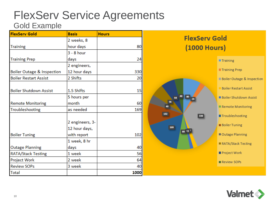#### FlexServ Service Agreements Gold Example

| <b>FlexServ Gold</b>          | <b>Basis</b>    | <b>Hours</b> |
|-------------------------------|-----------------|--------------|
|                               | 2 weeks, 8      |              |
| <b>Training</b>               | hour days       | 80           |
|                               | $3 - 8$ hour    |              |
| <b>Training Prep</b>          | days            | 24           |
|                               | 2 engineers,    |              |
| Boiler Outage & Inspection    | 12 hour days    | 330          |
| <b>Boiler Restart Assist</b>  | 2 Shifts        | 20           |
|                               |                 |              |
| <b>Boiler Shutdown Assist</b> | 1.5 Shifts      | 15           |
|                               | 5 hours per     |              |
| <b>Remote Monitoring</b>      | month           | 60           |
| Troubleshooting               | as needed       | 169          |
|                               |                 |              |
|                               | 2 engineers, 3- |              |
|                               | 12 hour days,   |              |
| <b>Boiler Tuning</b>          | with report     | 102          |
|                               | 1 week, 8 hr    |              |
| <b>Outage Planning</b>        | days            | 40           |
| <b>RATA/Stack Testing</b>     | 1 week          | 56           |
| Project Work                  | 2 week          | 64           |
| <b>Review SOPs</b>            | 3 week          | 40           |
| <b>Total</b>                  |                 | 1000         |



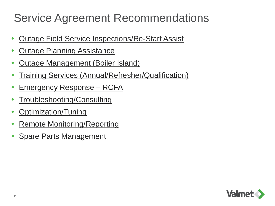### Service Agreement Recommendations

- Outage Field Service Inspections/Re-Start Assist
- **Outage Planning Assistance**
- Outage Management (Boiler Island)
- Training Services (Annual/Refresher/Qualification)
- Emergency Response RCFA
- Troubleshooting/Consulting
- Optimization/Tuning
- Remote Monitoring/Reporting
- Spare Parts Management

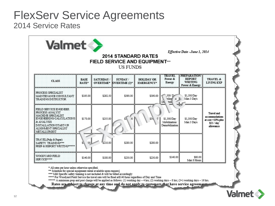#### FlexServ Service Agreements 2014 Service Rates

| <b>Valmet</b>                                                                                                                                                                |               |                              | <b>US FUNDS</b>                  | <b>2014 STANDARD RATES</b><br><b>FIELD SERVICE AND EQUIPMENT***</b> |                                                                     | Effective Date -June 1, 2014                              |                                                                              |
|------------------------------------------------------------------------------------------------------------------------------------------------------------------------------|---------------|------------------------------|----------------------------------|---------------------------------------------------------------------|---------------------------------------------------------------------|-----------------------------------------------------------|------------------------------------------------------------------------------|
| <b>CEASS</b>                                                                                                                                                                 | BASE<br>RATE: | <b>SATURDAY</b><br>OVERTIME* | SUNDAY /<br><b>OVERTIME (2)*</b> | <b>HOLIDAY OR</b><br><b>EMERGENCY*</b>                              | TRAMBE<br>Power &<br>Energy                                         | PREPARATION<br><b>REPORT</b><br>WRITING<br>Power & Energy | <b>TRAVEL &amp;</b><br><b>LIVING EXP</b>                                     |
| PROCESS: SPECIALIST<br>MAINTENANCE CONSULTANT<br><b>TRAINING INSTRUCTOR</b>                                                                                                  | \$195.00      | \$292.50                     | \$390.00                         | \$390.00                                                            | ,500/D<br>biliza <sup>1</sup><br>$\alpha$ <sup>ID</sup><br>₩Щ<br>Dè | \$1,500/Day<br>Max 3 Days                                 |                                                                              |
| FIELD SERVICE ENGINEER:<br>PROCESS ANALYST<br>MACHINE SPECIALIST<br>ENGINEERING CALCULATIONS<br>& ANALYSIS<br>INSTALLATION/START-UP<br>ALIGNÄMENT SPECIALIST<br>METALLURGIST | \$170.00      | \$255.00                     |                                  | 534<br>O.                                                           | \$1,300/Day<br>Mobilization/<br>Demobilization                      | \$1,300/Day<br>Max 3 Days                                 | Travel and<br>accommodations<br>at cost +10% plus<br>\$55 / day<br>allowance |
| TRAVEL (Pulp & Paper)<br>SAFETY TRAINING***<br>PREP & REPORT WRITING*****                                                                                                    | 00<br>sï      | \$210.00                     | \$280.00                         | \$280.00                                                            |                                                                     |                                                           |                                                                              |
| WOODYARD FIELD.<br>SERVICE****                                                                                                                                               | \$140.00      | \$180.00                     | \$230.00                         | \$230.00                                                            | \$140.00                                                            | S80.00<br>Max 8 Hours                                     |                                                                              |

\* All rates per hour unless otherwise specified.

\*\* Schedule for special equipment rental available upon request.<br>\*\*\* Mill Specific safety training is not included & will be billed accordingly

\*\*\*\* For Woodyard Field Service the travel rate will be fixed at\$140/hour regardless of Day and Time

\*\*\*\*\* A minimum prep and post charge will be applied as follows: (1) working day - 4 hrs; (2) working days - 8 hrs; (3+) working days - 16 hrs.

Rates are raised to change at any time and do not apply to customers, at have service agreement

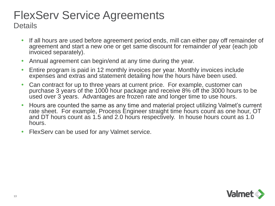# FlexServ Service Agreements

**Details** 

- If all hours are used before agreement period ends, mill can either pay off remainder of agreement and start a new one or get same discount for remainder of year (each job invoiced separately).
- Annual agreement can begin/end at any time during the year.
- Entire program is paid in 12 monthly invoices per year. Monthly invoices include expenses and extras and statement detailing how the hours have been used.
- Can contract for up to three years at current price. For example, customer can purchase 3 years of the 1000 hour package and receive 8% off the 3000 hours to be used over 3 years. Advantages are frozen rate and longer time to use hours.
- Hours are counted the same as any time and material project utilizing Valmet's current rate sheet. For example, Process Engineer straight time hours count as one hour, OT and DT hours count as 1.5 and 2.0 hours respectively. In house hours count as 1.0 hours.
- FlexServ can be used for any Valmet service.